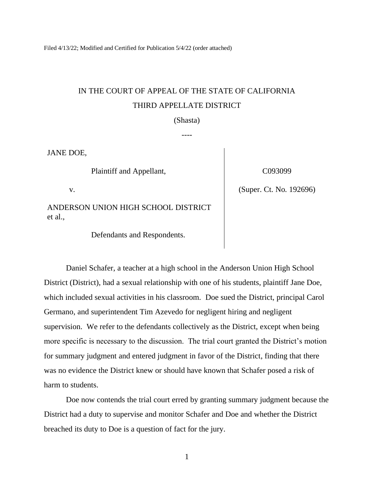Filed 4/13/22; Modified and Certified for Publication 5/4/22 (order attached)

# IN THE COURT OF APPEAL OF THE STATE OF CALIFORNIA THIRD APPELLATE DISTRICT

(Shasta)

----

JANE DOE,

Plaintiff and Appellant,

v.

ANDERSON UNION HIGH SCHOOL DISTRICT et al.,

Defendants and Respondents.

C093099

(Super. Ct. No. 192696)

Daniel Schafer, a teacher at a high school in the Anderson Union High School District (District), had a sexual relationship with one of his students, plaintiff Jane Doe, which included sexual activities in his classroom. Doe sued the District, principal Carol Germano, and superintendent Tim Azevedo for negligent hiring and negligent supervision. We refer to the defendants collectively as the District, except when being more specific is necessary to the discussion. The trial court granted the District's motion for summary judgment and entered judgment in favor of the District, finding that there was no evidence the District knew or should have known that Schafer posed a risk of harm to students.

Doe now contends the trial court erred by granting summary judgment because the District had a duty to supervise and monitor Schafer and Doe and whether the District breached its duty to Doe is a question of fact for the jury.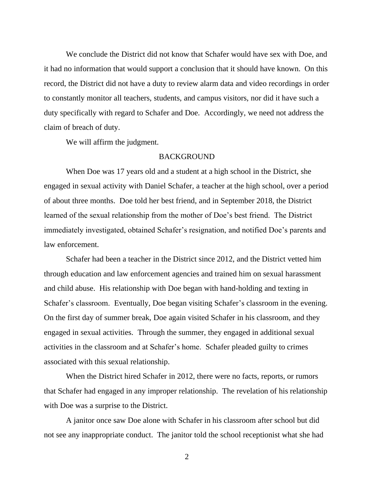We conclude the District did not know that Schafer would have sex with Doe, and it had no information that would support a conclusion that it should have known. On this record, the District did not have a duty to review alarm data and video recordings in order to constantly monitor all teachers, students, and campus visitors, nor did it have such a duty specifically with regard to Schafer and Doe. Accordingly, we need not address the claim of breach of duty.

We will affirm the judgment.

#### **BACKGROUND**

When Doe was 17 years old and a student at a high school in the District, she engaged in sexual activity with Daniel Schafer, a teacher at the high school, over a period of about three months. Doe told her best friend, and in September 2018, the District learned of the sexual relationship from the mother of Doe's best friend. The District immediately investigated, obtained Schafer's resignation, and notified Doe's parents and law enforcement.

Schafer had been a teacher in the District since 2012, and the District vetted him through education and law enforcement agencies and trained him on sexual harassment and child abuse. His relationship with Doe began with hand-holding and texting in Schafer's classroom. Eventually, Doe began visiting Schafer's classroom in the evening. On the first day of summer break, Doe again visited Schafer in his classroom, and they engaged in sexual activities. Through the summer, they engaged in additional sexual activities in the classroom and at Schafer's home. Schafer pleaded guilty to crimes associated with this sexual relationship.

When the District hired Schafer in 2012, there were no facts, reports, or rumors that Schafer had engaged in any improper relationship. The revelation of his relationship with Doe was a surprise to the District.

A janitor once saw Doe alone with Schafer in his classroom after school but did not see any inappropriate conduct. The janitor told the school receptionist what she had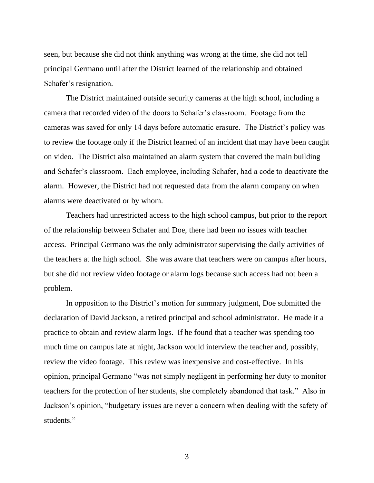seen, but because she did not think anything was wrong at the time, she did not tell principal Germano until after the District learned of the relationship and obtained Schafer's resignation.

The District maintained outside security cameras at the high school, including a camera that recorded video of the doors to Schafer's classroom. Footage from the cameras was saved for only 14 days before automatic erasure. The District's policy was to review the footage only if the District learned of an incident that may have been caught on video. The District also maintained an alarm system that covered the main building and Schafer's classroom. Each employee, including Schafer, had a code to deactivate the alarm. However, the District had not requested data from the alarm company on when alarms were deactivated or by whom.

Teachers had unrestricted access to the high school campus, but prior to the report of the relationship between Schafer and Doe, there had been no issues with teacher access. Principal Germano was the only administrator supervising the daily activities of the teachers at the high school. She was aware that teachers were on campus after hours, but she did not review video footage or alarm logs because such access had not been a problem.

In opposition to the District's motion for summary judgment, Doe submitted the declaration of David Jackson, a retired principal and school administrator. He made it a practice to obtain and review alarm logs. If he found that a teacher was spending too much time on campus late at night, Jackson would interview the teacher and, possibly, review the video footage. This review was inexpensive and cost-effective. In his opinion, principal Germano "was not simply negligent in performing her duty to monitor teachers for the protection of her students, she completely abandoned that task." Also in Jackson's opinion, "budgetary issues are never a concern when dealing with the safety of students."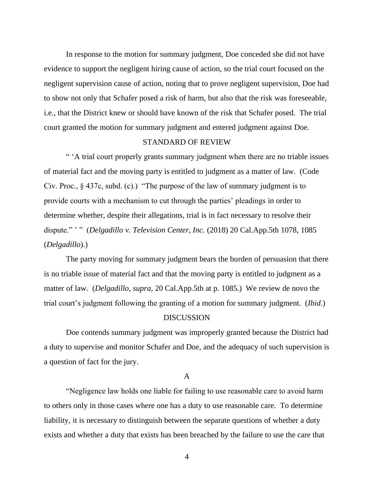In response to the motion for summary judgment, Doe conceded she did not have evidence to support the negligent hiring cause of action, so the trial court focused on the negligent supervision cause of action, noting that to prove negligent supervision, Doe had to show not only that Schafer posed a risk of harm, but also that the risk was foreseeable, i.e., that the District knew or should have known of the risk that Schafer posed. The trial court granted the motion for summary judgment and entered judgment against Doe.

## STANDARD OF REVIEW

" 'A trial court properly grants summary judgment when there are no triable issues of material fact and the moving party is entitled to judgment as a matter of law. (Code Civ. Proc., § 437c, subd. (c).) "The purpose of the law of summary judgment is to provide courts with a mechanism to cut through the parties' pleadings in order to determine whether, despite their allegations, trial is in fact necessary to resolve their dispute." '" (*Delgadillo v. Television Center, Inc.* (2018) 20 Cal.App.5th 1078, 1085 (*Delgadillo*).)

The party moving for summary judgment bears the burden of persuasion that there is no triable issue of material fact and that the moving party is entitled to judgment as a matter of law. (*Delgadillo, supra*, 20 Cal.App.5th at p. 1085.) We review de novo the trial court's judgment following the granting of a motion for summary judgment. (*Ibid*.)

### **DISCUSSION**

Doe contends summary judgment was improperly granted because the District had a duty to supervise and monitor Schafer and Doe, and the adequacy of such supervision is a question of fact for the jury.

#### A

"Negligence law holds one liable for failing to use reasonable care to avoid harm to others only in those cases where one has a duty to use reasonable care. To determine liability, it is necessary to distinguish between the separate questions of whether a duty exists and whether a duty that exists has been breached by the failure to use the care that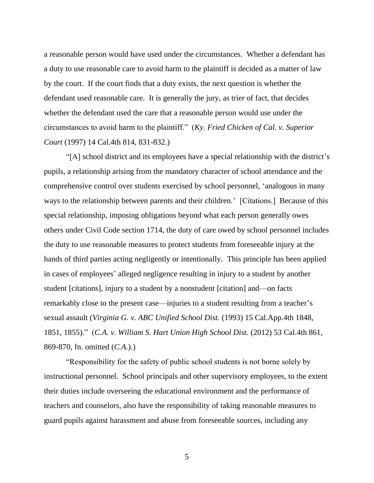a reasonable person would have used under the circumstances. Whether a defendant has a duty to use reasonable care to avoid harm to the plaintiff is decided as a matter of law by the court. If the court finds that a duty exists, the next question is whether the defendant used reasonable care. It is generally the jury, as trier of fact, that decides whether the defendant used the care that a reasonable person would use under the circumstances to avoid harm to the plaintiff." (*Ky. Fried Chicken of Cal. v. Superior Court* (1997) 14 Cal.4th 814, 831-832.)

"[A] school district and its employees have a special relationship with the district's pupils, a relationship arising from the mandatory character of school attendance and the comprehensive control over students exercised by school personnel, 'analogous in many ways to the relationship between parents and their children.' [Citations.] Because of this special relationship, imposing obligations beyond what each person generally owes others under Civil Code section 1714, the duty of care owed by school personnel includes the duty to use reasonable measures to protect students from foreseeable injury at the hands of third parties acting negligently or intentionally. This principle has been applied in cases of employees' alleged negligence resulting in injury to a student by another student [citations], injury to a student by a nonstudent [citation] and—on facts remarkably close to the present case—injuries to a student resulting from a teacher's sexual assault (*Virginia G. v. ABC Unified School Dist.* (1993) 15 Cal.App.4th 1848, 1851, 1855)." (*C.A. v. William S. Hart Union High School Dist.* (2012) 53 Cal.4th 861, 869-870, fn. omitted (*C.A.*).)

"Responsibility for the safety of public school students is not borne solely by instructional personnel. School principals and other supervisory employees, to the extent their duties include overseeing the educational environment and the performance of teachers and counselors, also have the responsibility of taking reasonable measures to guard pupils against harassment and abuse from foreseeable sources, including any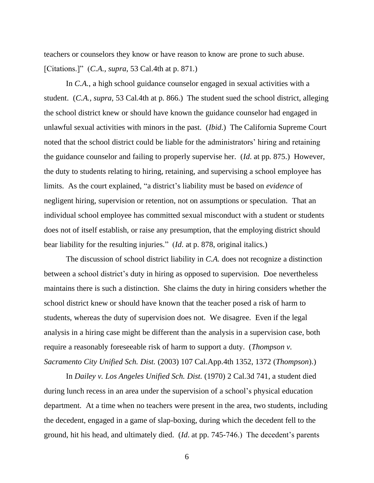teachers or counselors they know or have reason to know are prone to such abuse. [Citations.]" (*C.A., supra*, 53 Cal.4th at p. 871.)

In *C.A.*, a high school guidance counselor engaged in sexual activities with a student. (*C.A., supra*, 53 Cal.4th at p. 866.) The student sued the school district, alleging the school district knew or should have known the guidance counselor had engaged in unlawful sexual activities with minors in the past. (*Ibid*.) The California Supreme Court noted that the school district could be liable for the administrators' hiring and retaining the guidance counselor and failing to properly supervise her. (*Id*. at pp. 875.) However, the duty to students relating to hiring, retaining, and supervising a school employee has limits. As the court explained, "a district's liability must be based on *evidence* of negligent hiring, supervision or retention, not on assumptions or speculation. That an individual school employee has committed sexual misconduct with a student or students does not of itself establish, or raise any presumption, that the employing district should bear liability for the resulting injuries." (*Id*. at p. 878, original italics.)

The discussion of school district liability in *C.A.* does not recognize a distinction between a school district's duty in hiring as opposed to supervision. Doe nevertheless maintains there is such a distinction. She claims the duty in hiring considers whether the school district knew or should have known that the teacher posed a risk of harm to students, whereas the duty of supervision does not. We disagree. Even if the legal analysis in a hiring case might be different than the analysis in a supervision case, both require a reasonably foreseeable risk of harm to support a duty. (*Thompson v. Sacramento City Unified Sch. Dist.* (2003) 107 Cal.App.4th 1352, 1372 (*Thompson*).)

In *Dailey v. Los Angeles Unified Sch. Dist.* (1970) 2 Cal.3d 741, a student died during lunch recess in an area under the supervision of a school's physical education department. At a time when no teachers were present in the area, two students, including the decedent, engaged in a game of slap-boxing, during which the decedent fell to the ground, hit his head, and ultimately died. (*Id*. at pp. 745-746.) The decedent's parents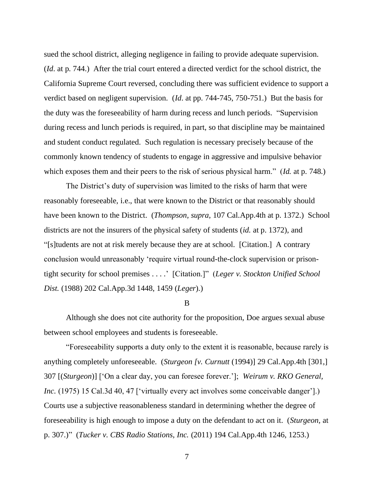sued the school district, alleging negligence in failing to provide adequate supervision. (*Id*. at p. 744.) After the trial court entered a directed verdict for the school district, the California Supreme Court reversed, concluding there was sufficient evidence to support a verdict based on negligent supervision. (*Id*. at pp. 744-745, 750-751.) But the basis for the duty was the foreseeability of harm during recess and lunch periods. "Supervision during recess and lunch periods is required, in part, so that discipline may be maintained and student conduct regulated. Such regulation is necessary precisely because of the commonly known tendency of students to engage in aggressive and impulsive behavior which exposes them and their peers to the risk of serious physical harm." (*Id.* at p. 748.)

The District's duty of supervision was limited to the risks of harm that were reasonably foreseeable, i.e., that were known to the District or that reasonably should have been known to the District. (*Thompson, supra*, 107 Cal.App.4th at p. 1372.) School districts are not the insurers of the physical safety of students (*id.* at p. 1372), and "[s]tudents are not at risk merely because they are at school. [Citation.] A contrary conclusion would unreasonably 'require virtual round-the-clock supervision or prisontight security for school premises . . . .' [Citation.]" (*Leger v. Stockton Unified School Dist.* (1988) 202 Cal.App.3d 1448, 1459 (*Leger*).)

#### B

Although she does not cite authority for the proposition, Doe argues sexual abuse between school employees and students is foreseeable.

"Foreseeability supports a duty only to the extent it is reasonable, because rarely is anything completely unforeseeable. (*Sturgeon [v. Curnutt* (1994)] 29 Cal.App.4th [301,] 307 [(*Sturgeon*)] ['On a clear day, you can foresee forever.']; *Weirum v. RKO General, Inc.* (1975) 15 Cal.3d 40, 47 ['virtually every act involves some conceivable danger'].) Courts use a subjective reasonableness standard in determining whether the degree of foreseeability is high enough to impose a duty on the defendant to act on it. (*Sturgeon,* at p. 307.)" (*Tucker v. CBS Radio Stations, Inc.* (2011) 194 Cal.App.4th 1246, 1253.)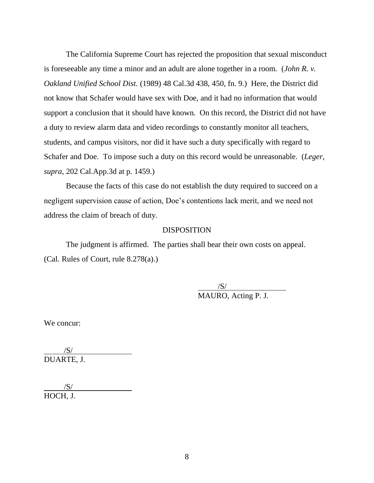The California Supreme Court has rejected the proposition that sexual misconduct is foreseeable any time a minor and an adult are alone together in a room. (*John R. v. Oakland Unified School Dist.* (1989) 48 Cal.3d 438, 450, fn. 9.) Here, the District did not know that Schafer would have sex with Doe, and it had no information that would support a conclusion that it should have known. On this record, the District did not have a duty to review alarm data and video recordings to constantly monitor all teachers, students, and campus visitors, nor did it have such a duty specifically with regard to Schafer and Doe. To impose such a duty on this record would be unreasonable. (*Leger, supra*, 202 Cal.App.3d at p. 1459.)

Because the facts of this case do not establish the duty required to succeed on a negligent supervision cause of action, Doe's contentions lack merit, and we need not address the claim of breach of duty.

### DISPOSITION

The judgment is affirmed. The parties shall bear their own costs on appeal. (Cal. Rules of Court, rule 8.278(a).)

> $\frac{|S|}{|S|}$ MAURO, Acting P. J.

We concur:

 $/S/$ DUARTE, J.

 /S/ HOCH, J.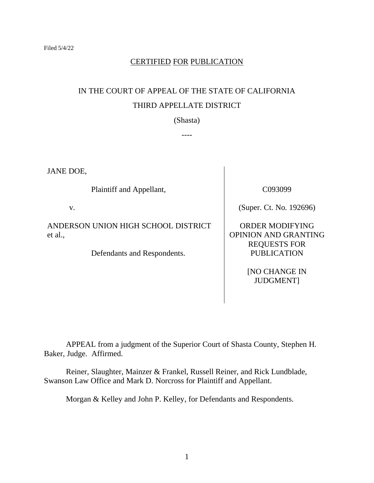## CERTIFIED FOR PUBLICATION

# IN THE COURT OF APPEAL OF THE STATE OF CALIFORNIA THIRD APPELLATE DISTRICT

(Shasta)

----

JANE DOE,

Plaintiff and Appellant,

v.

ANDERSON UNION HIGH SCHOOL DISTRICT et al.,

Defendants and Respondents.

C093099

(Super. Ct. No. 192696)

ORDER MODIFYING OPINION AND GRANTING REQUESTS FOR PUBLICATION

> [NO CHANGE IN JUDGMENT]

APPEAL from a judgment of the Superior Court of Shasta County, Stephen H. Baker, Judge. Affirmed.

Reiner, Slaughter, Mainzer & Frankel, Russell Reiner, and Rick Lundblade, Swanson Law Office and Mark D. Norcross for Plaintiff and Appellant.

Morgan & Kelley and John P. Kelley, for Defendants and Respondents.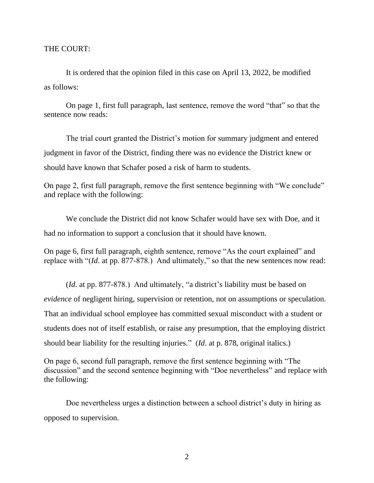## THE COURT:

It is ordered that the opinion filed in this case on April 13, 2022, be modified as follows:

On page 1, first full paragraph, last sentence, remove the word "that" so that the sentence now reads:

The trial court granted the District's motion for summary judgment and entered judgment in favor of the District, finding there was no evidence the District knew or should have known that Schafer posed a risk of harm to students.

On page 2, first full paragraph, remove the first sentence beginning with "We conclude" and replace with the following:

We conclude the District did not know Schafer would have sex with Doe, and it had no information to support a conclusion that it should have known.

On page 6, first full paragraph, eighth sentence, remove "As the court explained" and replace with "(*Id*. at pp. 877-878.) And ultimately," so that the new sentences now read:

(*Id*. at pp. 877-878.) And ultimately, "a district's liability must be based on *evidence* of negligent hiring, supervision or retention, not on assumptions or speculation. That an individual school employee has committed sexual misconduct with a student or students does not of itself establish, or raise any presumption, that the employing district should bear liability for the resulting injuries." (*Id*. at p. 878, original italics.)

On page 6, second full paragraph, remove the first sentence beginning with "The discussion" and the second sentence beginning with "Doe nevertheless" and replace with the following:

Doe nevertheless urges a distinction between a school district's duty in hiring as opposed to supervision.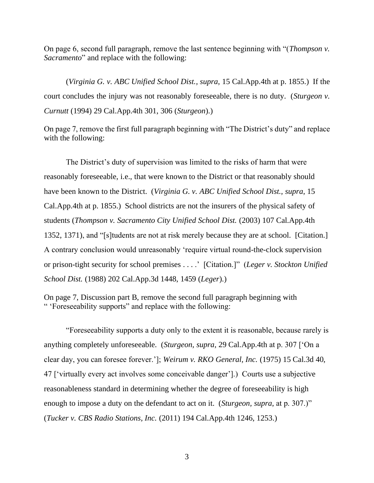On page 6, second full paragraph, remove the last sentence beginning with "(*Thompson v. Sacramento*" and replace with the following:

(*Virginia G. v. ABC Unified School Dist., supra*, 15 Cal.App.4th at p. 1855.) If the court concludes the injury was not reasonably foreseeable, there is no duty. (*Sturgeon v. Curnutt* (1994) 29 Cal.App.4th 301, 306 (*Sturgeon*).)

On page 7, remove the first full paragraph beginning with "The District's duty" and replace with the following:

The District's duty of supervision was limited to the risks of harm that were reasonably foreseeable, i.e., that were known to the District or that reasonably should have been known to the District. (*Virginia G. v. ABC Unified School Dist., supra*, 15 Cal.App.4th at p. 1855.) School districts are not the insurers of the physical safety of students (*Thompson v. Sacramento City Unified School Dist.* (2003) 107 Cal.App.4th 1352, 1371), and "[s]tudents are not at risk merely because they are at school. [Citation.] A contrary conclusion would unreasonably 'require virtual round-the-clock supervision or prison-tight security for school premises . . . .' [Citation.]" (*Leger v. Stockton Unified School Dist.* (1988) 202 Cal.App.3d 1448, 1459 (*Leger*).)

On page 7, Discussion part B, remove the second full paragraph beginning with " 'Foreseeability supports" and replace with the following:

"Foreseeability supports a duty only to the extent it is reasonable, because rarely is anything completely unforeseeable. (*Sturgeon, supra*, 29 Cal.App.4th at p. 307 ['On a clear day, you can foresee forever.']; *Weirum v. RKO General, Inc.* (1975) 15 Cal.3d 40, 47 ['virtually every act involves some conceivable danger'].) Courts use a subjective reasonableness standard in determining whether the degree of foreseeability is high enough to impose a duty on the defendant to act on it. (*Sturgeon, supra*, at p. 307.)" (*Tucker v. CBS Radio Stations, Inc.* (2011) 194 Cal.App.4th 1246, 1253.)